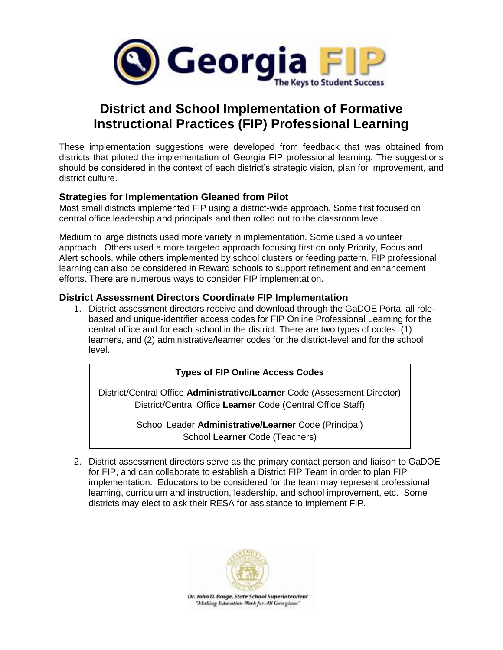

# **District and School Implementation of Formative Instructional Practices (FIP) Professional Learning**

These implementation suggestions were developed from feedback that was obtained from districts that piloted the implementation of Georgia FIP professional learning. The suggestions should be considered in the context of each district's strategic vision, plan for improvement, and district culture.

## **Strategies for Implementation Gleaned from Pilot**

Most small districts implemented FIP using a district-wide approach. Some first focused on central office leadership and principals and then rolled out to the classroom level.

Medium to large districts used more variety in implementation. Some used a volunteer approach. Others used a more targeted approach focusing first on only Priority, Focus and Alert schools, while others implemented by school clusters or feeding pattern. FIP professional learning can also be considered in Reward schools to support refinement and enhancement efforts. There are numerous ways to consider FIP implementation.

### **District Assessment Directors Coordinate FIP Implementation**

1. District assessment directors receive and download through the GaDOE Portal all rolebased and unique-identifier access codes for FIP Online Professional Learning for the central office and for each school in the district. There are two types of codes: (1) learners, and (2) administrative/learner codes for the district-level and for the school level.

#### **Types of FIP Online Access Codes**

District/Central Office **Administrative/Learner** Code (Assessment Director) District/Central Office **Learner** Code (Central Office Staff)

> School Leader **Administrative/Learner** Code (Principal) School **Learner** Code (Teachers)

2. District assessment directors serve as the primary contact person and liaison to GaDOE for FIP, and can collaborate to establish a District FIP Team in order to plan FIP implementation. Educators to be considered for the team may represent professional learning, curriculum and instruction, leadership, and school improvement, etc. Some districts may elect to ask their RESA for assistance to implement FIP.

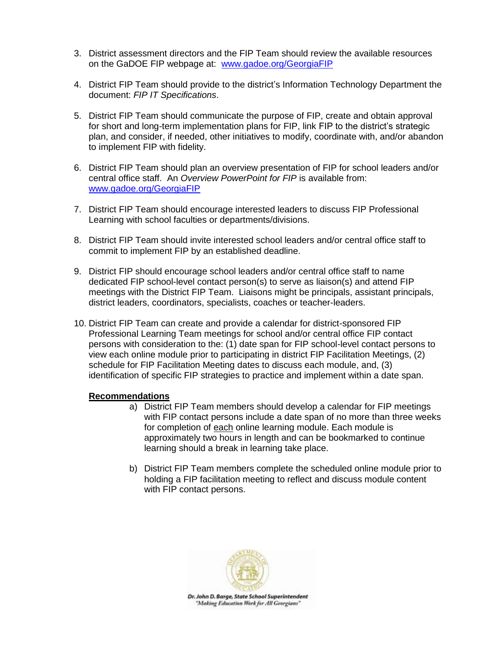- 3. District assessment directors and the FIP Team should review the available resources on the GaDOE FIP webpage at: [www.gadoe.org/GeorgiaFIP](http://www.gadoe.org/GeorgiaFIP)
- 4. District FIP Team should provide to the district's Information Technology Department the document: *FIP IT Specifications*.
- 5. District FIP Team should communicate the purpose of FIP, create and obtain approval for short and long-term implementation plans for FIP, link FIP to the district's strategic plan, and consider, if needed, other initiatives to modify, coordinate with, and/or abandon to implement FIP with fidelity.
- 6. District FIP Team should plan an overview presentation of FIP for school leaders and/or central office staff. An *Overview PowerPoint for FIP* is available from: [www.gadoe.org/GeorgiaFIP](http://www.gadoe.org/GeorgiaFIP)
- 7. District FIP Team should encourage interested leaders to discuss FIP Professional Learning with school faculties or departments/divisions.
- 8. District FIP Team should invite interested school leaders and/or central office staff to commit to implement FIP by an established deadline.
- 9. District FIP should encourage school leaders and/or central office staff to name dedicated FIP school-level contact person(s) to serve as liaison(s) and attend FIP meetings with the District FIP Team. Liaisons might be principals, assistant principals, district leaders, coordinators, specialists, coaches or teacher-leaders.
- 10. District FIP Team can create and provide a calendar for district-sponsored FIP Professional Learning Team meetings for school and/or central office FIP contact persons with consideration to the: (1) date span for FIP school-level contact persons to view each online module prior to participating in district FIP Facilitation Meetings, (2) schedule for FIP Facilitation Meeting dates to discuss each module, and, (3) identification of specific FIP strategies to practice and implement within a date span.

#### **Recommendations**

- a) District FIP Team members should develop a calendar for FIP meetings with FIP contact persons include a date span of no more than three weeks for completion of each online learning module. Each module is approximately two hours in length and can be bookmarked to continue learning should a break in learning take place.
- b) District FIP Team members complete the scheduled online module prior to holding a FIP facilitation meeting to reflect and discuss module content with FIP contact persons.